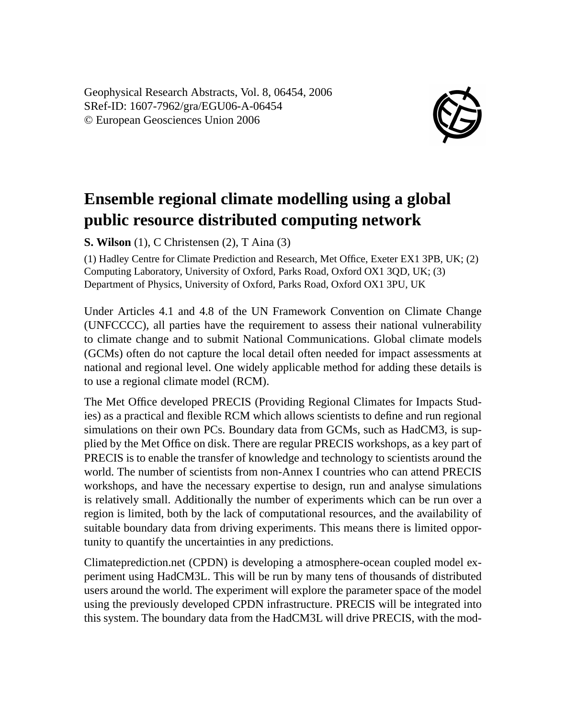Geophysical Research Abstracts, Vol. 8, 06454, 2006 SRef-ID: 1607-7962/gra/EGU06-A-06454 © European Geosciences Union 2006



## **Ensemble regional climate modelling using a global public resource distributed computing network**

**S. Wilson** (1), C Christensen (2), T Aina (3)

(1) Hadley Centre for Climate Prediction and Research, Met Office, Exeter EX1 3PB, UK; (2) Computing Laboratory, University of Oxford, Parks Road, Oxford OX1 3QD, UK; (3) Department of Physics, University of Oxford, Parks Road, Oxford OX1 3PU, UK

Under Articles 4.1 and 4.8 of the UN Framework Convention on Climate Change (UNFCCCC), all parties have the requirement to assess their national vulnerability to climate change and to submit National Communications. Global climate models (GCMs) often do not capture the local detail often needed for impact assessments at national and regional level. One widely applicable method for adding these details is to use a regional climate model (RCM).

The Met Office developed PRECIS (Providing Regional Climates for Impacts Studies) as a practical and flexible RCM which allows scientists to define and run regional simulations on their own PCs. Boundary data from GCMs, such as HadCM3, is supplied by the Met Office on disk. There are regular PRECIS workshops, as a key part of PRECIS is to enable the transfer of knowledge and technology to scientists around the world. The number of scientists from non-Annex I countries who can attend PRECIS workshops, and have the necessary expertise to design, run and analyse simulations is relatively small. Additionally the number of experiments which can be run over a region is limited, both by the lack of computational resources, and the availability of suitable boundary data from driving experiments. This means there is limited opportunity to quantify the uncertainties in any predictions.

Climateprediction.net (CPDN) is developing a atmosphere-ocean coupled model experiment using HadCM3L. This will be run by many tens of thousands of distributed users around the world. The experiment will explore the parameter space of the model using the previously developed CPDN infrastructure. PRECIS will be integrated into this system. The boundary data from the HadCM3L will drive PRECIS, with the mod